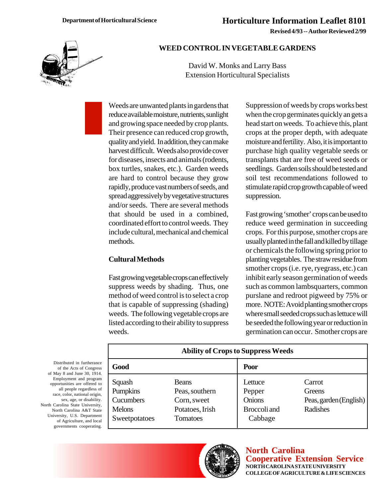**Revised 4/93 -- Author Reviewed 2/99**



## **WEED CONTROL IN VEGETABLE GARDENS**

David W. Monks and Larry Bass Extension Horticultural Specialists

Weeds are unwanted plants in gardens that reduce available moisture, nutrients, sunlight and growing space needed by crop plants. Their presence can reduced crop growth, quality and yield. In addition, they can make harvest difficult. Weeds also provide cover for diseases, insects and animals (rodents, box turtles, snakes, etc.). Garden weeds are hard to control because they grow rapidly, produce vast numbers of seeds, and spread aggressively by vegetative structures and/or seeds. There are several methods that should be used in a combined, coordinated effort to control weeds. They include cultural, mechanical and chemical methods.

## **Cultural Methods**

Fast growing vegetable crops can effectively suppress weeds by shading. Thus, one method of weed control is to select a crop that is capable of suppressing (shading) weeds. The following vegetable crops are listed according to their ability to suppress weeds.

Suppression of weeds by crops works best when the crop germinates quickly an gets a head start on weeds. To achieve this, plant crops at the proper depth, with adequate moisture and fertility. Also, it is important to purchase high quality vegetable seeds or transplants that are free of weed seeds or seedlings. Garden soils should be tested and soil test recommendations followed to stimulate rapid crop growth capable of weed suppression.

Fast growing 'smother' crops can be used to reduce weed germination in succeeding crops. For this purpose, smother crops are usually planted in the fall and killed by tillage or chemicals the following spring prior to planting vegetables. The straw residue from smother crops (i.e. rye, ryegrass, etc.) can inhibit early season germination of weeds such as common lambsquarters, common purslane and redroot pigweed by 75% or more. NOTE: Avoid planting smother crops where small seeded crops such as lettuce will be seeded the following year or reduction in germination can occur. Smother crops are

| <b>Ability of Crops to Suppress Weeds</b> |                 |               |                        |  |  |
|-------------------------------------------|-----------------|---------------|------------------------|--|--|
| Good                                      |                 | Poor          |                        |  |  |
| Squash                                    | <b>Beans</b>    | Lettuce       | Carrot                 |  |  |
| Pumpkins                                  | Peas, southern  | Pepper        | Greens                 |  |  |
| Cucumbers                                 | Corn, sweet     | <b>Onions</b> | Peas, garden (English) |  |  |
| <b>Melons</b>                             | Potatoes, Irish | Broccoli and  | Radishes               |  |  |
| Sweetpotatoes                             | Tomatoes        | Cabbage       |                        |  |  |



**North Carolina Cooperative Extension Service NORTH CAROLINA STATE UNIVERSITY COLLEGE OF AGRICULTURE & LIFE SCIENCES**

Distributed in furtherance of the Acts of Congres of May 8 and June 30, 1914. Employment and program opportunities are offered to all people regardless of race, color, national origin, sex, age, or disability North Carolina State University, North Carolina A&T Stat University, U.S. Department of Agriculture, and loca governments cooperating.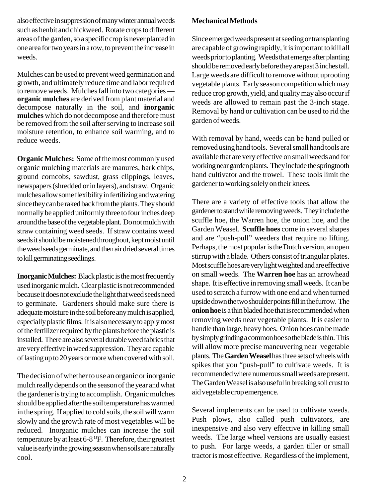also effective in suppression of many winter annual weeds such as henbit and chickweed. Rotate crops to different areas of the garden, so a specific crop is never planted in one area for two years in a row, to prevent the increase in weeds.

Mulches can be used to prevent weed germination and growth, and ultimately reduce time and labor required to remove weeds. Mulches fall into two categories **organic mulches** are derived from plant material and decompose naturally in the soil, and **inorganic mulches** which do not decompose and therefore must be removed from the soil after serving to increase soil moisture retention, to enhance soil warming, and to reduce weeds.

**Organic Mulches:** Some of the most commonly used organic mulching materials are manures, bark chips, ground corncobs, sawdust, grass clippings, leaves, newspapers (shredded or in layers), and straw. Organic mulches allow some flexibility in fertilizing and watering since they can be raked back from the plants. They should normally be applied uniformly three to four inches deep around the base of the vegetable plant. Do not mulch with straw containing weed seeds. If straw contains weed seeds it should be moistened throughout, kept moist until the weed seeds germinate, and then air dried several times to kill germinating seedlings.

**Inorganic Mulches:** Black plastic is the most frequently used inorganic mulch. Clear plastic is not recommended because it does not exclude the light that weed seeds need to germinate. Gardeners should make sure there is adequate moisture in the soil before any mulch is applied, especially plastic films. It is also necessary to apply most of the fertilizer required by the plants before the plastic is installed. There are also several durable weed fabrics that are very effective in weed suppression. They are capable of lasting up to 20 years or more when covered with soil.

The decision of whether to use an organic or inorganic mulch really depends on the season of the year and what the gardener is trying to accomplish. Organic mulches should be applied after the soil temperature has warmed in the spring. If applied to cold soils, the soil will warm slowly and the growth rate of most vegetables will be reduced. Inorganic mulches can increase the soil temperature by at least  $6-8$  °F. Therefore, their greatest value is early in the growing season when soils are naturally cool.

## **Mechanical Methods**

Since emerged weeds present at seeding or transplanting are capable of growing rapidly, it is important to kill all weeds prior to planting. Weeds that emerge after planting should be removed early before they are past 3 inches tall. Large weeds are difficult to remove without uprooting vegetable plants. Early season competition which may reduce crop growth, yield, and quality may also occur if weeds are allowed to remain past the 3-inch stage. Removal by hand or cultivation can be used to rid the garden of weeds.

With removal by hand, weeds can be hand pulled or removed using hand tools. Several small hand tools are available that are very effective on small weeds and for working near garden plants. They include the springtooth hand cultivator and the trowel. These tools limit the gardener to working solely on their knees.

There are a variety of effective tools that allow the gardener to stand while removing weeds. They include the scuffle hoe, the Warren hoe, the onion hoe, and the Garden Weasel. **Scuffle hoes** come in several shapes and are "push-pull" weeders that require no lifting. Perhaps, the most popular is the Dutch version, an open stirrup with a blade. Others consist of triangular plates. Most scuffle hoes are very light weighted and are effective on small weeds. The **Warren hoe** has an arrowhead shape. It is effective in removing small weeds. It can be used to scratch a furrow with one end and when turned upside down the two shoulder points fill in the furrow. The **onion hoe** is a thin bladed hoe that is recommended when removing weeds near vegetable plants. It is easier to handle than large, heavy hoes. Onion hoes can be made by simply grinding a common hoe so the blade is thin. This will allow more precise maneuvering near vegetable plants. The **Garden Weasel** has three sets of wheels with spikes that you "push-pull" to cultivate weeds. It is recommended where numerous small weeds are present. The Garden Weasel is also useful in breaking soil crust to aid vegetable crop emergence.

Several implements can be used to cultivate weeds. Push plows, also called push cultivators, are inexpensive and also very effective in killing small weeds. The large wheel versions are usually easiest to push. For large weeds, a garden tiller or small tractor is most effective. Regardless of the implement,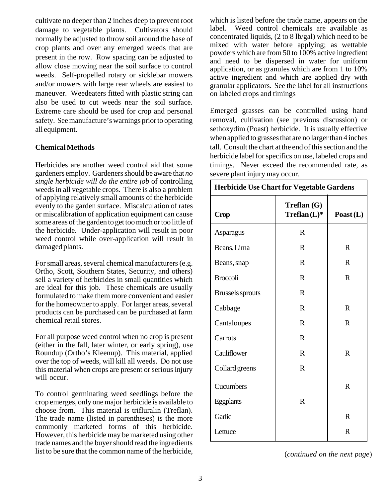cultivate no deeper than 2 inches deep to prevent root damage to vegetable plants. Cultivators should normally be adjusted to throw soil around the base of crop plants and over any emerged weeds that are present in the row. Row spacing can be adjusted to allow close mowing near the soil surface to control weeds. Self-propelled rotary or sicklebar mowers and/or mowers with large rear wheels are easiest to maneuver. Weedeaters fitted with plastic string can also be used to cut weeds near the soil surface. Extreme care should be used for crop and personal safety. See manufacture's warnings prior to operating all equipment.

## **Chemical Methods**

Herbicides are another weed control aid that some gardeners employ. Gardeners should be aware that *no single herbicide will do the entire job* of controlling weeds in all vegetable crops. There is also a problem of applying relatively small amounts of the herbicide evenly to the garden surface. Miscalculation of rates or miscalibration of application equipment can cause some areas of the garden to get too much or too little of the herbicide. Under-application will result in poor weed control while over-application will result in damaged plants.

For small areas, several chemical manufacturers (e.g. Ortho, Scott, Southern States, Security, and others) sell a variety of herbicides in small quantities which are ideal for this job. These chemicals are usually formulated to make them more convenient and easier for the homeowner to apply. For larger areas, several products can be purchased can be purchased at farm chemical retail stores.

For all purpose weed control when no crop is present (either in the fall, later winter, or early spring), use Roundup (Ortho's Kleenup). This material, applied over the top of weeds, will kill all weeds. Do not use this material when crops are present or serious injury will occur.

To control germinating weed seedlings before the crop emerges, only one major herbicide is available to choose from. This material is trifluralin (Treflan). The trade name (listed in parentheses) is the more commonly marketed forms of this herbicide. However, this herbicide may be marketed using other trade names and the buyer should read the ingredients list to be sure that the common name of the herbicide,

which is listed before the trade name, appears on the label. Weed control chemicals are available as concentrated liquids, (2 to 8 lb/gal) which need to be mixed with water before applying; as wettable powders which are from 50 to 100% active ingredient and need to be dispersed in water for uniform application, or as granules which are from 1 to 10% active ingredient and which are applied dry with granular applicators. See the label for all instructions on labeled crops and timings

Emerged grasses can be controlled using hand removal, cultivation (see previous discussion) or sethoxydim (Poast) herbicide. It is usually effective when applied to grasses that are no larger than 4 inches tall. Consult the chart at the end of this section and the herbicide label for specifics on use, labeled crops and timings. Never exceed the recommended rate, as severe plant injury may occur.

| <b>Herbicide Use Chart for Vegetable Gardens</b> |                              |              |  |  |
|--------------------------------------------------|------------------------------|--------------|--|--|
| <b>Crop</b>                                      | Treflan(G)<br>$Treflan(L)$ * | Poast $(L)$  |  |  |
| Asparagus                                        | $\mathbf R$                  |              |  |  |
| Beans, Lima                                      | R                            | $\mathbf{R}$ |  |  |
| Beans, snap                                      | $\mathbf R$                  | $\mathbf R$  |  |  |
| <b>Broccoli</b>                                  | $\mathbf R$                  | $\mathbf R$  |  |  |
| <b>Brussels sprouts</b>                          | R                            |              |  |  |
| Cabbage                                          | R                            | $\mathbf R$  |  |  |
| Cantaloupes                                      | $\mathbf R$                  | $\mathbf R$  |  |  |
| Carrots                                          | $\mathbf R$                  |              |  |  |
| Cauliflower                                      | $\mathbf R$                  | $\mathbf R$  |  |  |
| Collard greens                                   | $\mathbf R$                  |              |  |  |
| Cucumbers                                        |                              | $\mathbf R$  |  |  |
| Eggplants                                        | $\mathbf R$                  |              |  |  |
| Garlic                                           |                              | $\mathbf R$  |  |  |
| Lettuce                                          |                              | R            |  |  |

(*continued on the next page*)